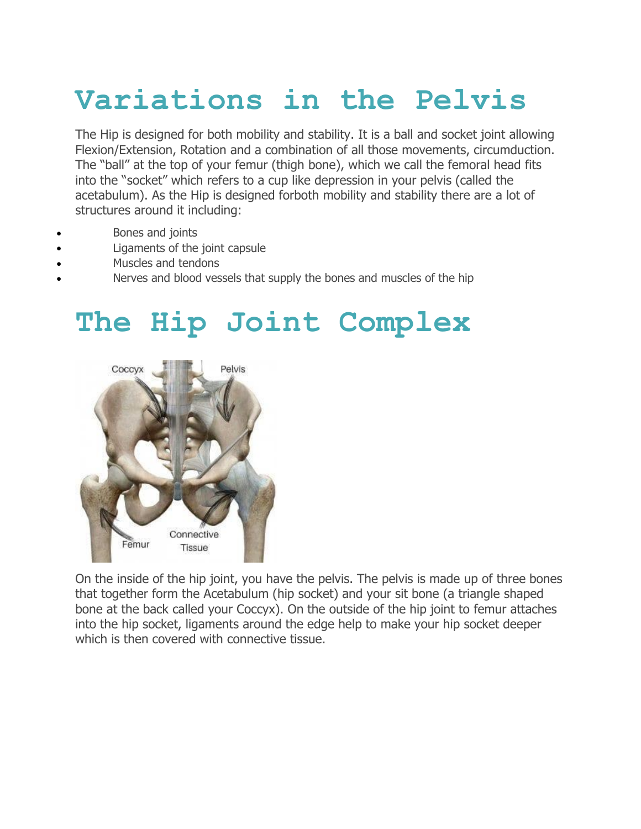# **Variations in the Pelvis**

The Hip is designed for both mobility and stability. It is a ball and socket joint allowing Flexion/Extension, Rotation and a combination of all those movements, circumduction. The "ball" at the top of your femur (thigh bone), which we call the femoral head fits into the "socket" which refers to a cup like depression in your pelvis (called the acetabulum). As the Hip is designed forboth mobility and stability there are a lot of structures around it including:

- Bones and joints
- Ligaments of the joint capsule
- Muscles and tendons
- Nerves and blood vessels that supply the bones and muscles of the hip

## **The Hip Joint Complex**



On the inside of the hip joint, you have the pelvis. The pelvis is made up of three bones that together form the Acetabulum (hip socket) and your sit bone (a triangle shaped bone at the back called your Coccyx). On the outside of the hip joint to femur attaches into the hip socket, ligaments around the edge help to make your hip socket deeper which is then covered with connective tissue.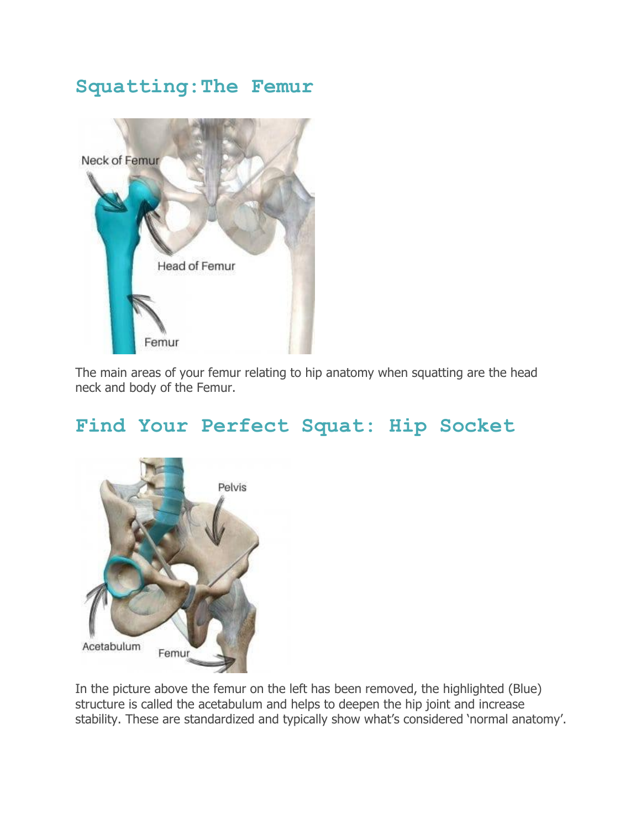#### **Squatting:The Femur**



The main areas of your femur relating to hip anatomy when squatting are the head neck and body of the Femur.

#### **Find Your Perfect Squat: Hip Socket**



In the picture above the femur on the left has been removed, the highlighted (Blue) structure is called the acetabulum and helps to deepen the hip joint and increase stability. These are standardized and typically show what's considered 'normal anatomy'.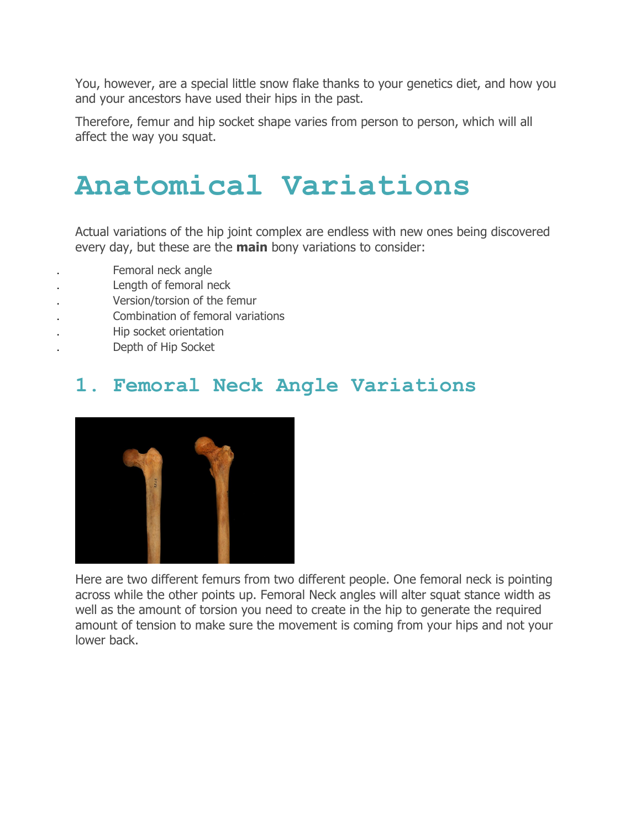You, however, are a special little snow flake thanks to your genetics diet, and how you and your ancestors have used their hips in the past.

Therefore, femur and hip socket shape varies from person to person, which will all affect the way you squat.

# **Anatomical Variations**

Actual variations of the hip joint complex are endless with new ones being discovered every day, but these are the **main** bony variations to consider:

- . Femoral neck angle
	- . Length of femoral neck
- . Version/torsion of the femur
- . Combination of femoral variations
- . Hip socket orientation
	- . Depth of Hip Socket

#### **1. Femoral Neck Angle Variations**



Here are two different femurs from two different people. One femoral neck is pointing across while the other points up. Femoral Neck angles will alter squat stance width as well as the amount of torsion you need to create in the hip to generate the required amount of tension to make sure the movement is coming from your hips and not your lower back.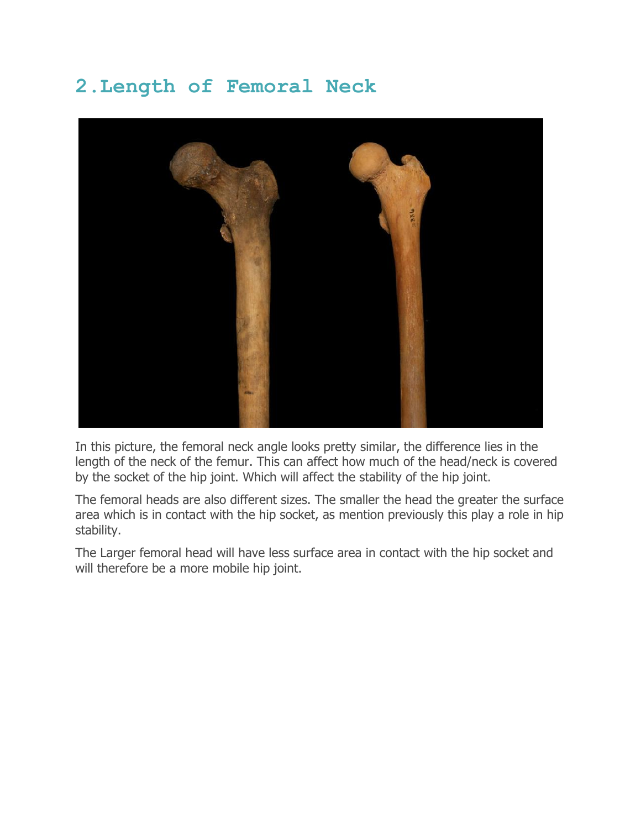#### **2.Length of Femoral Neck**



In this picture, the femoral neck angle looks pretty similar, the difference lies in the length of the neck of the femur. This can affect how much of the head/neck is covered by the socket of the hip joint. Which will affect the stability of the hip joint.

The femoral heads are also different sizes. The smaller the head the greater the surface area which is in contact with the hip socket, as mention previously this play a role in hip stability.

The Larger femoral head will have less surface area in contact with the hip socket and will therefore be a more mobile hip joint.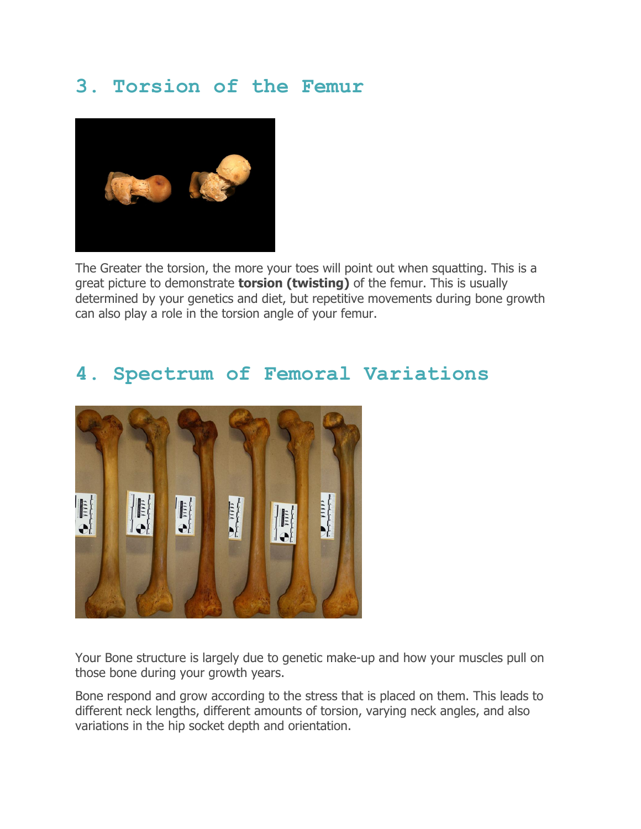#### **3. Torsion of the Femur**



The Greater the torsion, the more your toes will point out when squatting. This is a great picture to demonstrate **torsion (twisting)** of the femur. This is usually determined by your genetics and diet, but repetitive movements during bone growth can also play a role in the torsion angle of your femur.

#### **4. Spectrum of Femoral Variations**



Your Bone structure is largely due to genetic make-up and how your muscles pull on those bone during your growth years.

Bone respond and grow according to the stress that is placed on them. This leads to different neck lengths, different amounts of torsion, varying neck angles, and also variations in the hip socket depth and orientation.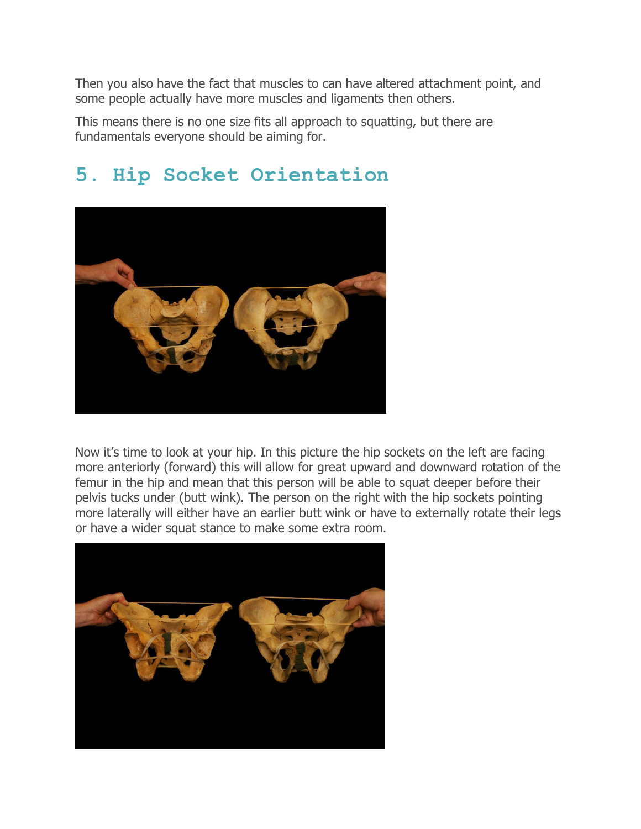Then you also have the fact that muscles to can have altered attachment point, and some people actually have more muscles and ligaments then others.

This means there is no one size fits all approach to squatting, but there are fundamentals everyone should be aiming for.

#### **5. Hip Socket Orientation**



Now it's time to look at your hip. In this picture the hip sockets on the left are facing more anteriorly (forward) this will allow for great upward and downward rotation of the femur in the hip and mean that this person will be able to squat deeper before their pelvis tucks under (butt wink). The person on the right with the hip sockets pointing more laterally will either have an earlier butt wink or have to externally rotate their legs or have a wider squat stance to make some extra room.

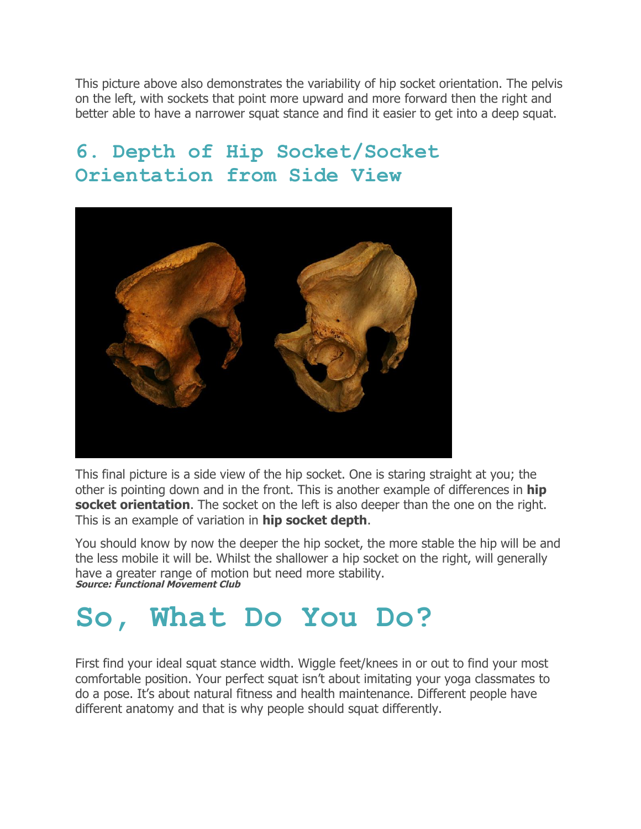This picture above also demonstrates the variability of hip socket orientation. The pelvis on the left, with sockets that point more upward and more forward then the right and better able to have a narrower squat stance and find it easier to get into a deep squat.

### **6. Depth of Hip Socket/Socket Orientation from Side View**



This final picture is a side view of the hip socket. One is staring straight at you; the other is pointing down and in the front. This is another example of differences in **hip socket orientation**. The socket on the left is also deeper than the one on the right. This is an example of variation in **hip socket depth**.

You should know by now the deeper the hip socket, the more stable the hip will be and the less mobile it will be. Whilst the shallower a hip socket on the right, will generally have a greater range of motion but need more stability. **Source: Functional Movement Club** 

## **So, What Do You Do?**

First find your ideal squat stance width. Wiggle feet/knees in or out to find your most comfortable position. Your perfect squat isn't about imitating your yoga classmates to do a pose. It's about natural fitness and health maintenance. Different people have different anatomy and that is why people should squat differently.